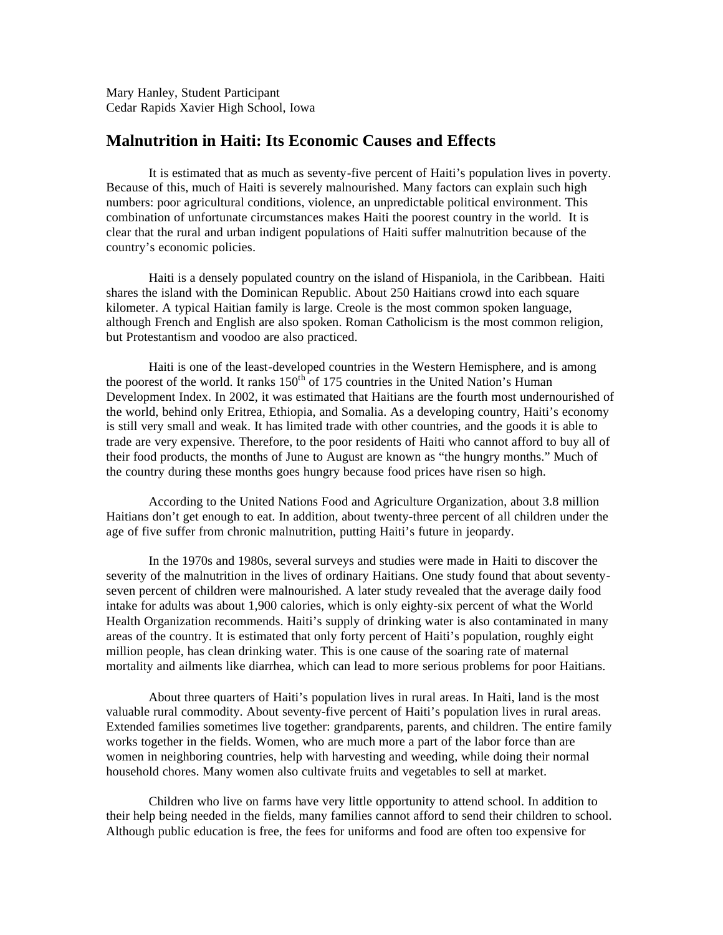Mary Hanley, Student Participant Cedar Rapids Xavier High School, Iowa

## **Malnutrition in Haiti: Its Economic Causes and Effects**

It is estimated that as much as seventy-five percent of Haiti's population lives in poverty. Because of this, much of Haiti is severely malnourished. Many factors can explain such high numbers: poor agricultural conditions, violence, an unpredictable political environment. This combination of unfortunate circumstances makes Haiti the poorest country in the world. It is clear that the rural and urban indigent populations of Haiti suffer malnutrition because of the country's economic policies.

Haiti is a densely populated country on the island of Hispaniola, in the Caribbean. Haiti shares the island with the Dominican Republic. About 250 Haitians crowd into each square kilometer. A typical Haitian family is large. Creole is the most common spoken language, although French and English are also spoken. Roman Catholicism is the most common religion, but Protestantism and voodoo are also practiced.

Haiti is one of the least-developed countries in the Western Hemisphere, and is among the poorest of the world. It ranks  $150<sup>th</sup>$  of 175 countries in the United Nation's Human Development Index. In 2002, it was estimated that Haitians are the fourth most undernourished of the world, behind only Eritrea, Ethiopia, and Somalia. As a developing country, Haiti's economy is still very small and weak. It has limited trade with other countries, and the goods it is able to trade are very expensive. Therefore, to the poor residents of Haiti who cannot afford to buy all of their food products, the months of June to August are known as "the hungry months." Much of the country during these months goes hungry because food prices have risen so high.

According to the United Nations Food and Agriculture Organization, about 3.8 million Haitians don't get enough to eat. In addition, about twenty-three percent of all children under the age of five suffer from chronic malnutrition, putting Haiti's future in jeopardy.

In the 1970s and 1980s, several surveys and studies were made in Haiti to discover the severity of the malnutrition in the lives of ordinary Haitians. One study found that about seventyseven percent of children were malnourished. A later study revealed that the average daily food intake for adults was about 1,900 calories, which is only eighty-six percent of what the World Health Organization recommends. Haiti's supply of drinking water is also contaminated in many areas of the country. It is estimated that only forty percent of Haiti's population, roughly eight million people, has clean drinking water. This is one cause of the soaring rate of maternal mortality and ailments like diarrhea, which can lead to more serious problems for poor Haitians.

About three quarters of Haiti's population lives in rural areas. In Haiti, land is the most valuable rural commodity. About seventy-five percent of Haiti's population lives in rural areas. Extended families sometimes live together: grandparents, parents, and children. The entire family works together in the fields. Women, who are much more a part of the labor force than are women in neighboring countries, help with harvesting and weeding, while doing their normal household chores. Many women also cultivate fruits and vegetables to sell at market.

Children who live on farms have very little opportunity to attend school. In addition to their help being needed in the fields, many families cannot afford to send their children to school. Although public education is free, the fees for uniforms and food are often too expensive for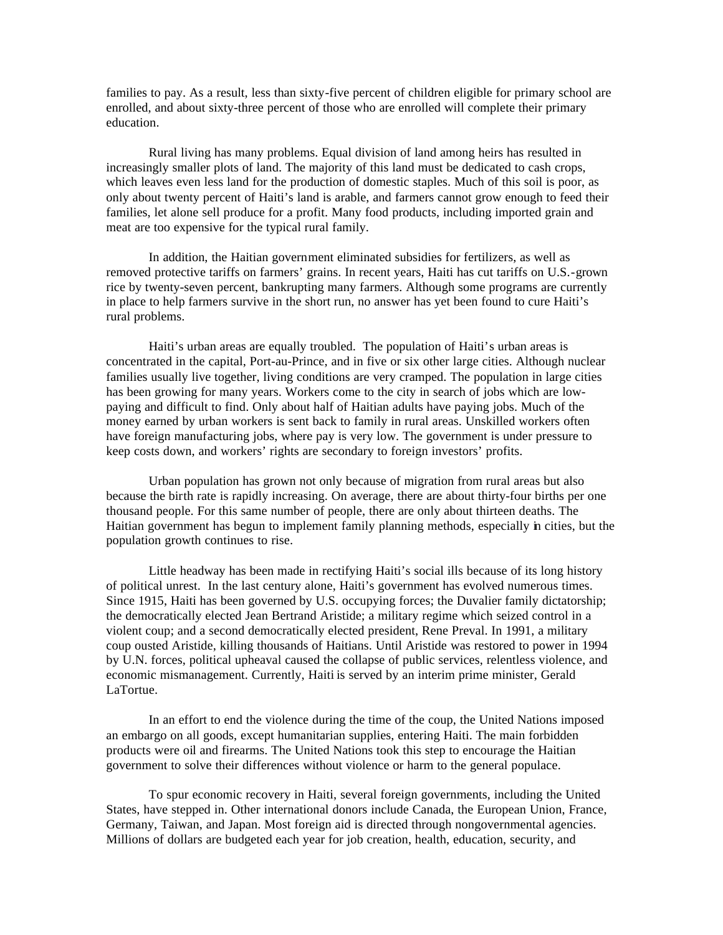families to pay. As a result, less than sixty-five percent of children eligible for primary school are enrolled, and about sixty-three percent of those who are enrolled will complete their primary education.

Rural living has many problems. Equal division of land among heirs has resulted in increasingly smaller plots of land. The majority of this land must be dedicated to cash crops, which leaves even less land for the production of domestic staples. Much of this soil is poor, as only about twenty percent of Haiti's land is arable, and farmers cannot grow enough to feed their families, let alone sell produce for a profit. Many food products, including imported grain and meat are too expensive for the typical rural family.

In addition, the Haitian government eliminated subsidies for fertilizers, as well as removed protective tariffs on farmers' grains. In recent years, Haiti has cut tariffs on U.S.-grown rice by twenty-seven percent, bankrupting many farmers. Although some programs are currently in place to help farmers survive in the short run, no answer has yet been found to cure Haiti's rural problems.

Haiti's urban areas are equally troubled. The population of Haiti's urban areas is concentrated in the capital, Port-au-Prince, and in five or six other large cities. Although nuclear families usually live together, living conditions are very cramped. The population in large cities has been growing for many years. Workers come to the city in search of jobs which are lowpaying and difficult to find. Only about half of Haitian adults have paying jobs. Much of the money earned by urban workers is sent back to family in rural areas. Unskilled workers often have foreign manufacturing jobs, where pay is very low. The government is under pressure to keep costs down, and workers' rights are secondary to foreign investors' profits.

Urban population has grown not only because of migration from rural areas but also because the birth rate is rapidly increasing. On average, there are about thirty-four births per one thousand people. For this same number of people, there are only about thirteen deaths. The Haitian government has begun to implement family planning methods, especially in cities, but the population growth continues to rise.

Little headway has been made in rectifying Haiti's social ills because of its long history of political unrest. In the last century alone, Haiti's government has evolved numerous times. Since 1915, Haiti has been governed by U.S. occupying forces; the Duvalier family dictatorship; the democratically elected Jean Bertrand Aristide; a military regime which seized control in a violent coup; and a second democratically elected president, Rene Preval. In 1991, a military coup ousted Aristide, killing thousands of Haitians. Until Aristide was restored to power in 1994 by U.N. forces, political upheaval caused the collapse of public services, relentless violence, and economic mismanagement. Currently, Haiti is served by an interim prime minister, Gerald LaTortue.

In an effort to end the violence during the time of the coup, the United Nations imposed an embargo on all goods, except humanitarian supplies, entering Haiti. The main forbidden products were oil and firearms. The United Nations took this step to encourage the Haitian government to solve their differences without violence or harm to the general populace.

To spur economic recovery in Haiti, several foreign governments, including the United States, have stepped in. Other international donors include Canada, the European Union, France, Germany, Taiwan, and Japan. Most foreign aid is directed through nongovernmental agencies. Millions of dollars are budgeted each year for job creation, health, education, security, and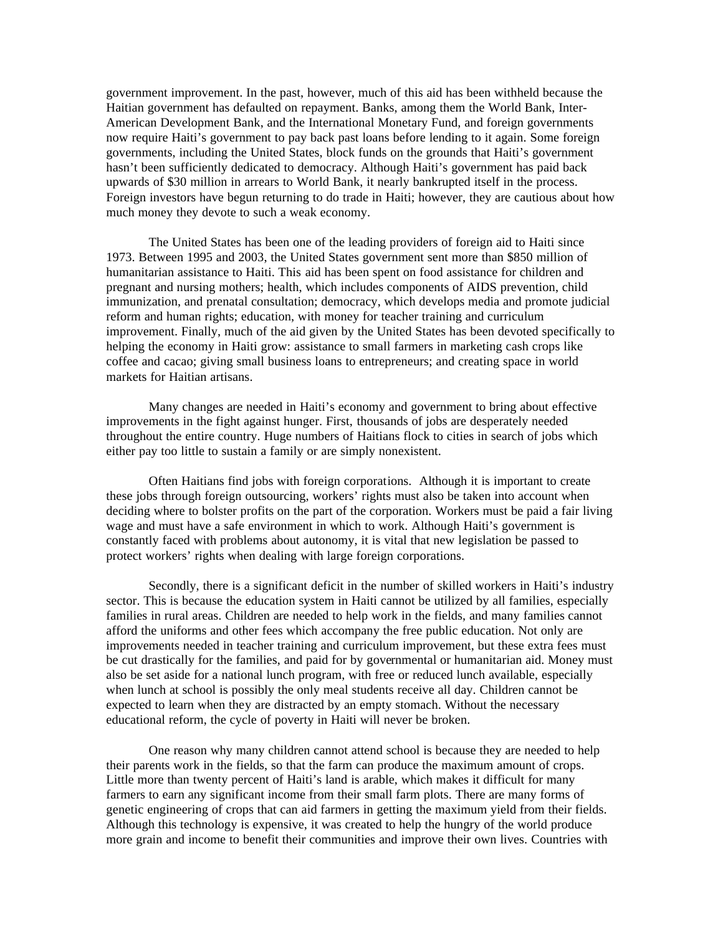government improvement. In the past, however, much of this aid has been withheld because the Haitian government has defaulted on repayment. Banks, among them the World Bank, Inter-American Development Bank, and the International Monetary Fund, and foreign governments now require Haiti's government to pay back past loans before lending to it again. Some foreign governments, including the United States, block funds on the grounds that Haiti's government hasn't been sufficiently dedicated to democracy. Although Haiti's government has paid back upwards of \$30 million in arrears to World Bank, it nearly bankrupted itself in the process. Foreign investors have begun returning to do trade in Haiti; however, they are cautious about how much money they devote to such a weak economy.

The United States has been one of the leading providers of foreign aid to Haiti since 1973. Between 1995 and 2003, the United States government sent more than \$850 million of humanitarian assistance to Haiti. This aid has been spent on food assistance for children and pregnant and nursing mothers; health, which includes components of AIDS prevention, child immunization, and prenatal consultation; democracy, which develops media and promote judicial reform and human rights; education, with money for teacher training and curriculum improvement. Finally, much of the aid given by the United States has been devoted specifically to helping the economy in Haiti grow: assistance to small farmers in marketing cash crops like coffee and cacao; giving small business loans to entrepreneurs; and creating space in world markets for Haitian artisans.

Many changes are needed in Haiti's economy and government to bring about effective improvements in the fight against hunger. First, thousands of jobs are desperately needed throughout the entire country. Huge numbers of Haitians flock to cities in search of jobs which either pay too little to sustain a family or are simply nonexistent.

Often Haitians find jobs with foreign corporations. Although it is important to create these jobs through foreign outsourcing, workers' rights must also be taken into account when deciding where to bolster profits on the part of the corporation. Workers must be paid a fair living wage and must have a safe environment in which to work. Although Haiti's government is constantly faced with problems about autonomy, it is vital that new legislation be passed to protect workers' rights when dealing with large foreign corporations.

Secondly, there is a significant deficit in the number of skilled workers in Haiti's industry sector. This is because the education system in Haiti cannot be utilized by all families, especially families in rural areas. Children are needed to help work in the fields, and many families cannot afford the uniforms and other fees which accompany the free public education. Not only are improvements needed in teacher training and curriculum improvement, but these extra fees must be cut drastically for the families, and paid for by governmental or humanitarian aid. Money must also be set aside for a national lunch program, with free or reduced lunch available, especially when lunch at school is possibly the only meal students receive all day. Children cannot be expected to learn when they are distracted by an empty stomach. Without the necessary educational reform, the cycle of poverty in Haiti will never be broken.

One reason why many children cannot attend school is because they are needed to help their parents work in the fields, so that the farm can produce the maximum amount of crops. Little more than twenty percent of Haiti's land is arable, which makes it difficult for many farmers to earn any significant income from their small farm plots. There are many forms of genetic engineering of crops that can aid farmers in getting the maximum yield from their fields. Although this technology is expensive, it was created to help the hungry of the world produce more grain and income to benefit their communities and improve their own lives. Countries with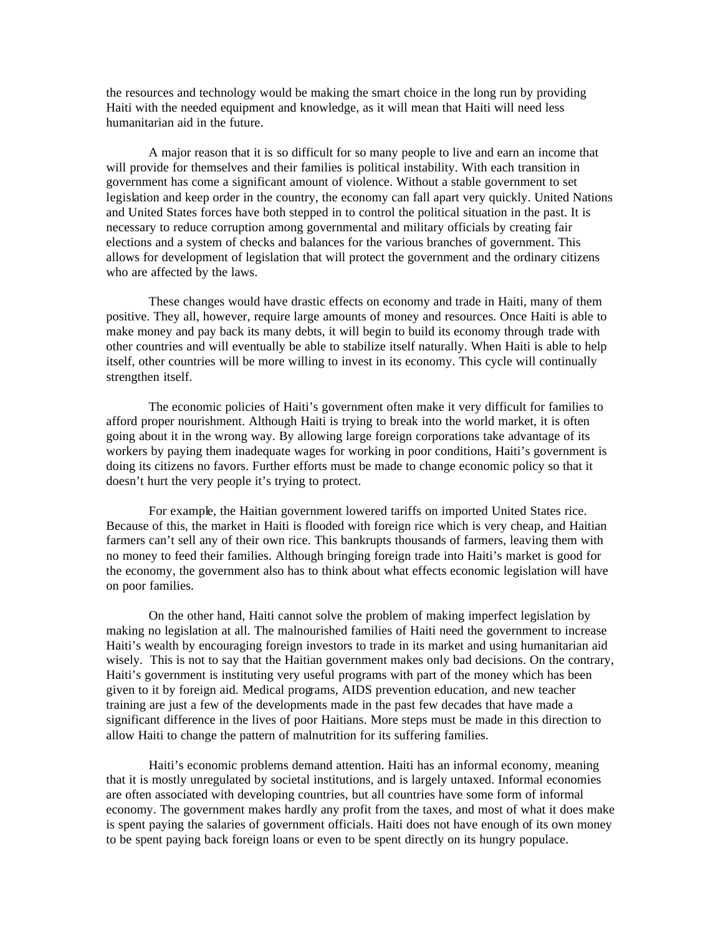the resources and technology would be making the smart choice in the long run by providing Haiti with the needed equipment and knowledge, as it will mean that Haiti will need less humanitarian aid in the future.

A major reason that it is so difficult for so many people to live and earn an income that will provide for themselves and their families is political instability. With each transition in government has come a significant amount of violence. Without a stable government to set legislation and keep order in the country, the economy can fall apart very quickly. United Nations and United States forces have both stepped in to control the political situation in the past. It is necessary to reduce corruption among governmental and military officials by creating fair elections and a system of checks and balances for the various branches of government. This allows for development of legislation that will protect the government and the ordinary citizens who are affected by the laws.

These changes would have drastic effects on economy and trade in Haiti, many of them positive. They all, however, require large amounts of money and resources. Once Haiti is able to make money and pay back its many debts, it will begin to build its economy through trade with other countries and will eventually be able to stabilize itself naturally. When Haiti is able to help itself, other countries will be more willing to invest in its economy. This cycle will continually strengthen itself.

The economic policies of Haiti's government often make it very difficult for families to afford proper nourishment. Although Haiti is trying to break into the world market, it is often going about it in the wrong way. By allowing large foreign corporations take advantage of its workers by paying them inadequate wages for working in poor conditions, Haiti's government is doing its citizens no favors. Further efforts must be made to change economic policy so that it doesn't hurt the very people it's trying to protect.

For example, the Haitian government lowered tariffs on imported United States rice. Because of this, the market in Haiti is flooded with foreign rice which is very cheap, and Haitian farmers can't sell any of their own rice. This bankrupts thousands of farmers, leaving them with no money to feed their families. Although bringing foreign trade into Haiti's market is good for the economy, the government also has to think about what effects economic legislation will have on poor families.

On the other hand, Haiti cannot solve the problem of making imperfect legislation by making no legislation at all. The malnourished families of Haiti need the government to increase Haiti's wealth by encouraging foreign investors to trade in its market and using humanitarian aid wisely. This is not to say that the Haitian government makes only bad decisions. On the contrary, Haiti's government is instituting very useful programs with part of the money which has been given to it by foreign aid. Medical programs, AIDS prevention education, and new teacher training are just a few of the developments made in the past few decades that have made a significant difference in the lives of poor Haitians. More steps must be made in this direction to allow Haiti to change the pattern of malnutrition for its suffering families.

Haiti's economic problems demand attention. Haiti has an informal economy, meaning that it is mostly unregulated by societal institutions, and is largely untaxed. Informal economies are often associated with developing countries, but all countries have some form of informal economy. The government makes hardly any profit from the taxes, and most of what it does make is spent paying the salaries of government officials. Haiti does not have enough of its own money to be spent paying back foreign loans or even to be spent directly on its hungry populace.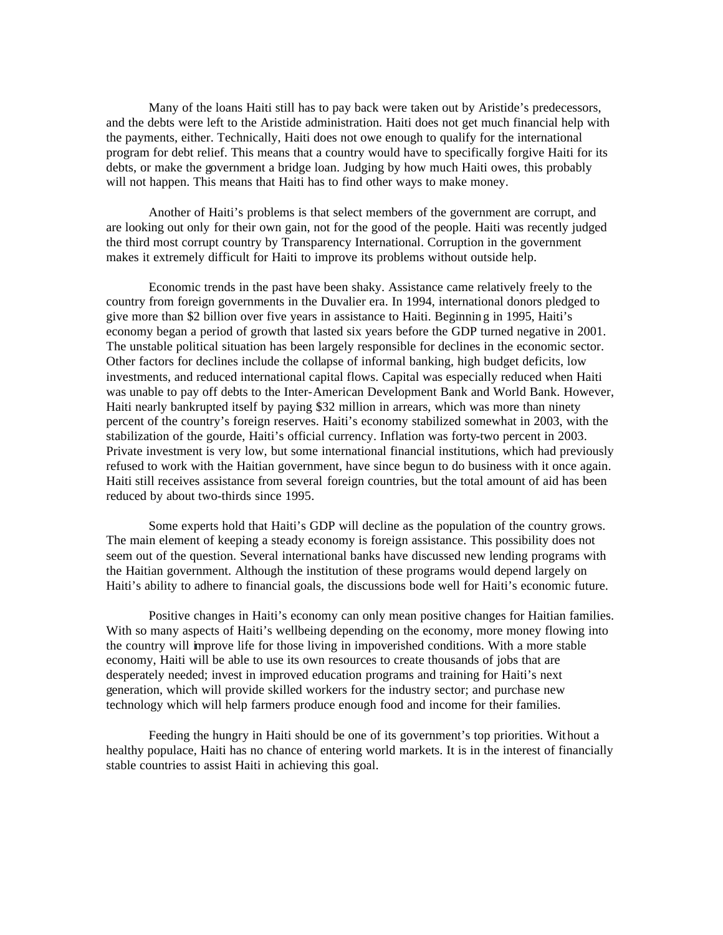Many of the loans Haiti still has to pay back were taken out by Aristide's predecessors, and the debts were left to the Aristide administration. Haiti does not get much financial help with the payments, either. Technically, Haiti does not owe enough to qualify for the international program for debt relief. This means that a country would have to specifically forgive Haiti for its debts, or make the government a bridge loan. Judging by how much Haiti owes, this probably will not happen. This means that Haiti has to find other ways to make money.

Another of Haiti's problems is that select members of the government are corrupt, and are looking out only for their own gain, not for the good of the people. Haiti was recently judged the third most corrupt country by Transparency International. Corruption in the government makes it extremely difficult for Haiti to improve its problems without outside help.

Economic trends in the past have been shaky. Assistance came relatively freely to the country from foreign governments in the Duvalier era. In 1994, international donors pledged to give more than \$2 billion over five years in assistance to Haiti. Beginning in 1995, Haiti's economy began a period of growth that lasted six years before the GDP turned negative in 2001. The unstable political situation has been largely responsible for declines in the economic sector. Other factors for declines include the collapse of informal banking, high budget deficits, low investments, and reduced international capital flows. Capital was especially reduced when Haiti was unable to pay off debts to the Inter-American Development Bank and World Bank. However, Haiti nearly bankrupted itself by paying \$32 million in arrears, which was more than ninety percent of the country's foreign reserves. Haiti's economy stabilized somewhat in 2003, with the stabilization of the gourde, Haiti's official currency. Inflation was forty-two percent in 2003. Private investment is very low, but some international financial institutions, which had previously refused to work with the Haitian government, have since begun to do business with it once again. Haiti still receives assistance from several foreign countries, but the total amount of aid has been reduced by about two-thirds since 1995.

Some experts hold that Haiti's GDP will decline as the population of the country grows. The main element of keeping a steady economy is foreign assistance. This possibility does not seem out of the question. Several international banks have discussed new lending programs with the Haitian government. Although the institution of these programs would depend largely on Haiti's ability to adhere to financial goals, the discussions bode well for Haiti's economic future.

Positive changes in Haiti's economy can only mean positive changes for Haitian families. With so many aspects of Haiti's wellbeing depending on the economy, more money flowing into the country will improve life for those living in impoverished conditions. With a more stable economy, Haiti will be able to use its own resources to create thousands of jobs that are desperately needed; invest in improved education programs and training for Haiti's next generation, which will provide skilled workers for the industry sector; and purchase new technology which will help farmers produce enough food and income for their families.

Feeding the hungry in Haiti should be one of its government's top priorities. Without a healthy populace, Haiti has no chance of entering world markets. It is in the interest of financially stable countries to assist Haiti in achieving this goal.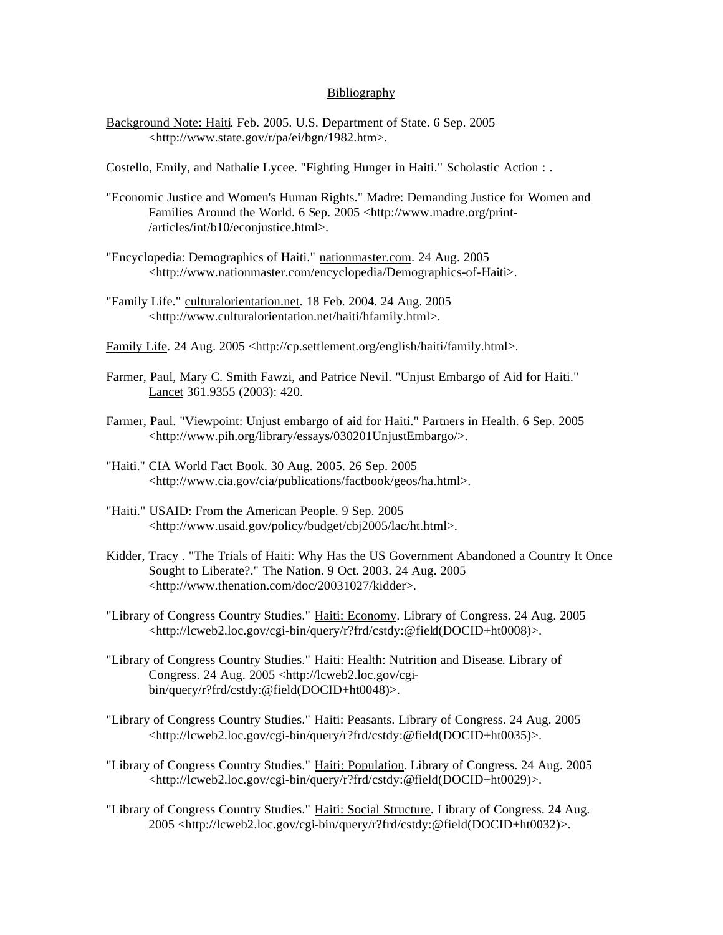## Bibliography

Background Note: Haiti. Feb. 2005. U.S. Department of State. 6 Sep. 2005 <http://www.state.gov/r/pa/ei/bgn/1982.htm>.

Costello, Emily, and Nathalie Lycee. "Fighting Hunger in Haiti." Scholastic Action : .

- "Economic Justice and Women's Human Rights." Madre: Demanding Justice for Women and Families Around the World. 6 Sep. 2005 <http://www.madre.org/print-/articles/int/b10/econjustice.html>.
- "Encyclopedia: Demographics of Haiti." nationmaster.com. 24 Aug. 2005 <http://www.nationmaster.com/encyclopedia/Demographics-of-Haiti>.
- "Family Life." culturalorientation.net. 18 Feb. 2004. 24 Aug. 2005 <http://www.culturalorientation.net/haiti/hfamily.html>.

Family Life. 24 Aug. 2005 <http://cp.settlement.org/english/haiti/family.html>.

- Farmer, Paul, Mary C. Smith Fawzi, and Patrice Nevil. "Unjust Embargo of Aid for Haiti." Lancet 361.9355 (2003): 420.
- Farmer, Paul. "Viewpoint: Unjust embargo of aid for Haiti." Partners in Health. 6 Sep. 2005 <http://www.pih.org/library/essays/030201UnjustEmbargo/>.
- "Haiti." CIA World Fact Book. 30 Aug. 2005. 26 Sep. 2005 <http://www.cia.gov/cia/publications/factbook/geos/ha.html>.
- "Haiti." USAID: From the American People. 9 Sep. 2005 <http://www.usaid.gov/policy/budget/cbj2005/lac/ht.html>.
- Kidder, Tracy . "The Trials of Haiti: Why Has the US Government Abandoned a Country It Once Sought to Liberate?." The Nation. 9 Oct. 2003. 24 Aug. 2005 <http://www.thenation.com/doc/20031027/kidder>.
- "Library of Congress Country Studies." Haiti: Economy. Library of Congress. 24 Aug. 2005 <http://lcweb2.loc.gov/cgi-bin/query/r?frd/cstdy:@field(DOCID+ht0008)>.
- "Library of Congress Country Studies." Haiti: Health: Nutrition and Disease. Library of Congress. 24 Aug. 2005 <http://lcweb2.loc.gov/cgibin/query/r?frd/cstdy:@field(DOCID+ht0048)>.
- "Library of Congress Country Studies." Haiti: Peasants. Library of Congress. 24 Aug. 2005 <http://lcweb2.loc.gov/cgi-bin/query/r?frd/cstdy:@field(DOCID+ht0035)>.
- "Library of Congress Country Studies." Haiti: Population. Library of Congress. 24 Aug. 2005 <http://lcweb2.loc.gov/cgi-bin/query/r?frd/cstdy:@field(DOCID+ht0029)>.
- "Library of Congress Country Studies." Haiti: Social Structure. Library of Congress. 24 Aug. 2005 <http://lcweb2.loc.gov/cgi-bin/query/r?frd/cstdy:@field(DOCID+ht0032)>.